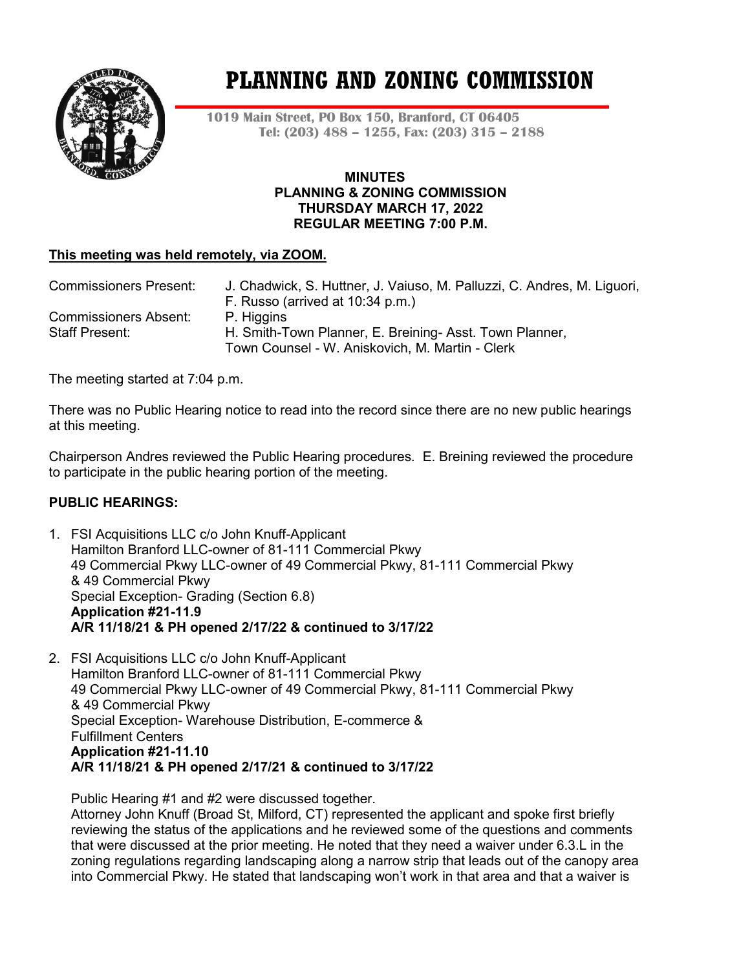

# **PLANNING AND ZONING COMMISSION**

**1019 Main Street, PO Box 150, Branford, CT 06405 Tel: (203) 488 – 1255, Fax: (203) 315 – 2188**

#### **MINUTES PLANNING & ZONING COMMISSION THURSDAY MARCH 17, 2022 REGULAR MEETING 7:00 P.M.**

# **This meeting was held remotely, via ZOOM.**

| <b>Commissioners Present:</b> | J. Chadwick, S. Huttner, J. Vaiuso, M. Palluzzi, C. Andres, M. Liguori, |
|-------------------------------|-------------------------------------------------------------------------|
|                               | F. Russo (arrived at 10:34 p.m.)                                        |
| <b>Commissioners Absent:</b>  | P. Higgins                                                              |
| Staff Present:                | H. Smith-Town Planner, E. Breining- Asst. Town Planner,                 |
|                               | Town Counsel - W. Aniskovich, M. Martin - Clerk                         |

The meeting started at 7:04 p.m.

There was no Public Hearing notice to read into the record since there are no new public hearings at this meeting.

Chairperson Andres reviewed the Public Hearing procedures. E. Breining reviewed the procedure to participate in the public hearing portion of the meeting.

## **PUBLIC HEARINGS:**

- 1. FSI Acquisitions LLC c/o John Knuff-Applicant Hamilton Branford LLC-owner of 81-111 Commercial Pkwy 49 Commercial Pkwy LLC-owner of 49 Commercial Pkwy, 81-111 Commercial Pkwy & 49 Commercial Pkwy Special Exception- Grading (Section 6.8) **Application #21-11.9 A/R 11/18/21 & PH opened 2/17/22 & continued to 3/17/22**
- 2. FSI Acquisitions LLC c/o John Knuff-Applicant Hamilton Branford LLC-owner of 81-111 Commercial Pkwy 49 Commercial Pkwy LLC-owner of 49 Commercial Pkwy, 81-111 Commercial Pkwy & 49 Commercial Pkwy Special Exception- Warehouse Distribution, E-commerce & Fulfillment Centers **Application #21-11.10 A/R 11/18/21 & PH opened 2/17/21 & continued to 3/17/22**

Public Hearing #1 and #2 were discussed together. Attorney John Knuff (Broad St, Milford, CT) represented the applicant and spoke first briefly reviewing the status of the applications and he reviewed some of the questions and comments that were discussed at the prior meeting. He noted that they need a waiver under 6.3.L in the zoning regulations regarding landscaping along a narrow strip that leads out of the canopy area into Commercial Pkwy. He stated that landscaping won't work in that area and that a waiver is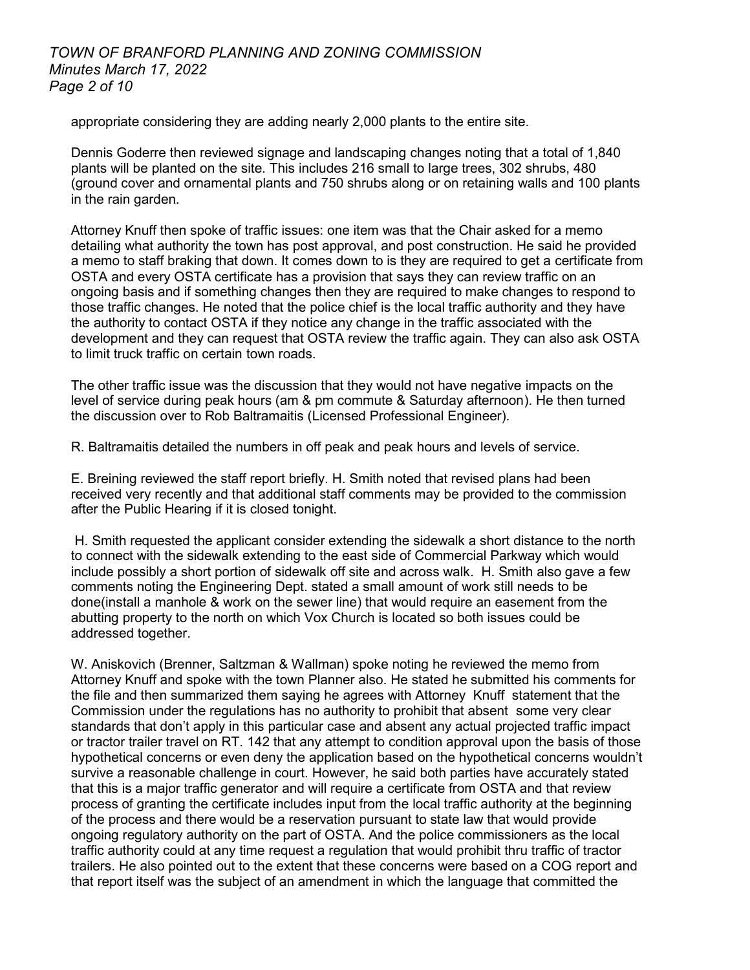# *TOWN OF BRANFORD PLANNING AND ZONING COMMISSION Minutes March 17, 2022 Page 2 of 10*

appropriate considering they are adding nearly 2,000 plants to the entire site.

Dennis Goderre then reviewed signage and landscaping changes noting that a total of 1,840 plants will be planted on the site. This includes 216 small to large trees, 302 shrubs, 480 (ground cover and ornamental plants and 750 shrubs along or on retaining walls and 100 plants in the rain garden.

Attorney Knuff then spoke of traffic issues: one item was that the Chair asked for a memo detailing what authority the town has post approval, and post construction. He said he provided a memo to staff braking that down. It comes down to is they are required to get a certificate from OSTA and every OSTA certificate has a provision that says they can review traffic on an ongoing basis and if something changes then they are required to make changes to respond to those traffic changes. He noted that the police chief is the local traffic authority and they have the authority to contact OSTA if they notice any change in the traffic associated with the development and they can request that OSTA review the traffic again. They can also ask OSTA to limit truck traffic on certain town roads.

The other traffic issue was the discussion that they would not have negative impacts on the level of service during peak hours (am & pm commute & Saturday afternoon). He then turned the discussion over to Rob Baltramaitis (Licensed Professional Engineer).

R. Baltramaitis detailed the numbers in off peak and peak hours and levels of service.

E. Breining reviewed the staff report briefly. H. Smith noted that revised plans had been received very recently and that additional staff comments may be provided to the commission after the Public Hearing if it is closed tonight.

H. Smith requested the applicant consider extending the sidewalk a short distance to the north to connect with the sidewalk extending to the east side of Commercial Parkway which would include possibly a short portion of sidewalk off site and across walk. H. Smith also gave a few comments noting the Engineering Dept. stated a small amount of work still needs to be done(install a manhole & work on the sewer line) that would require an easement from the abutting property to the north on which Vox Church is located so both issues could be addressed together.

W. Aniskovich (Brenner, Saltzman & Wallman) spoke noting he reviewed the memo from Attorney Knuff and spoke with the town Planner also. He stated he submitted his comments for the file and then summarized them saying he agrees with Attorney Knuff statement that the Commission under the regulations has no authority to prohibit that absent some very clear standards that don't apply in this particular case and absent any actual projected traffic impact or tractor trailer travel on RT. 142 that any attempt to condition approval upon the basis of those hypothetical concerns or even deny the application based on the hypothetical concerns wouldn't survive a reasonable challenge in court. However, he said both parties have accurately stated that this is a major traffic generator and will require a certificate from OSTA and that review process of granting the certificate includes input from the local traffic authority at the beginning of the process and there would be a reservation pursuant to state law that would provide ongoing regulatory authority on the part of OSTA. And the police commissioners as the local traffic authority could at any time request a regulation that would prohibit thru traffic of tractor trailers. He also pointed out to the extent that these concerns were based on a COG report and that report itself was the subject of an amendment in which the language that committed the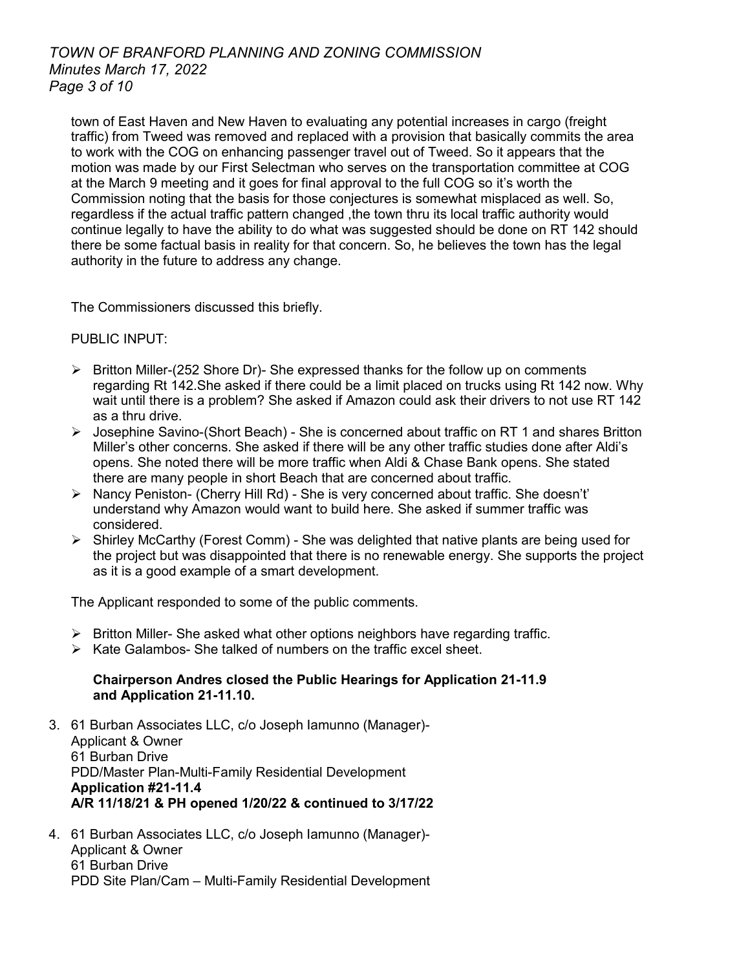# *TOWN OF BRANFORD PLANNING AND ZONING COMMISSION Minutes March 17, 2022 Page 3 of 10*

town of East Haven and New Haven to evaluating any potential increases in cargo (freight traffic) from Tweed was removed and replaced with a provision that basically commits the area to work with the COG on enhancing passenger travel out of Tweed. So it appears that the motion was made by our First Selectman who serves on the transportation committee at COG at the March 9 meeting and it goes for final approval to the full COG so it's worth the Commission noting that the basis for those conjectures is somewhat misplaced as well. So, regardless if the actual traffic pattern changed ,the town thru its local traffic authority would continue legally to have the ability to do what was suggested should be done on RT 142 should there be some factual basis in reality for that concern. So, he believes the town has the legal authority in the future to address any change.

The Commissioners discussed this briefly.

# PUBLIC INPUT:

- $\triangleright$  Britton Miller-(252 Shore Dr)- She expressed thanks for the follow up on comments regarding Rt 142.She asked if there could be a limit placed on trucks using Rt 142 now. Why wait until there is a problem? She asked if Amazon could ask their drivers to not use RT 142 as a thru drive.
- $\triangleright$  Josephine Savino-(Short Beach) She is concerned about traffic on RT 1 and shares Britton Miller's other concerns. She asked if there will be any other traffic studies done after Aldi's opens. She noted there will be more traffic when Aldi & Chase Bank opens. She stated there are many people in short Beach that are concerned about traffic.
- $\triangleright$  Nancy Peniston- (Cherry Hill Rd) She is very concerned about traffic. She doesn't' understand why Amazon would want to build here. She asked if summer traffic was considered.
- $\triangleright$  Shirley McCarthy (Forest Comm) She was delighted that native plants are being used for the project but was disappointed that there is no renewable energy. She supports the project as it is a good example of a smart development.

The Applicant responded to some of the public comments.

- $\triangleright$  Britton Miller-She asked what other options neighbors have regarding traffic.
- $\triangleright$  Kate Galambos- She talked of numbers on the traffic excel sheet.

## **Chairperson Andres closed the Public Hearings for Application 21-11.9 and Application 21-11.10.**

- 3. 61 Burban Associates LLC, c/o Joseph Iamunno (Manager)- Applicant & Owner 61 Burban Drive PDD/Master Plan-Multi-Family Residential Development **Application #21-11.4 A/R 11/18/21 & PH opened 1/20/22 & continued to 3/17/22**
- 4. 61 Burban Associates LLC, c/o Joseph Iamunno (Manager)- Applicant & Owner 61 Burban Drive PDD Site Plan/Cam – Multi-Family Residential Development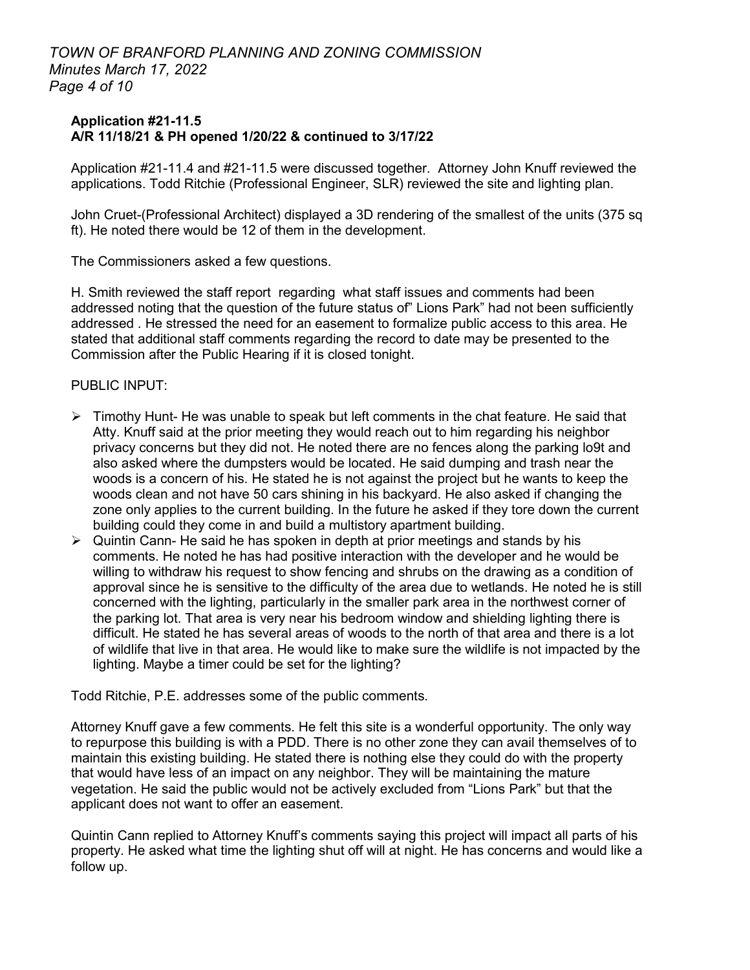# *TOWN OF BRANFORD PLANNING AND ZONING COMMISSION Minutes March 17, 2022 Page 4 of 10*

#### **Application #21-11.5 A/R 11/18/21 & PH opened 1/20/22 & continued to 3/17/22**

Application #21-11.4 and #21-11.5 were discussed together. Attorney John Knuff reviewed the applications. Todd Ritchie (Professional Engineer, SLR) reviewed the site and lighting plan.

John Cruet-(Professional Architect) displayed a 3D rendering of the smallest of the units (375 sq ft). He noted there would be 12 of them in the development.

The Commissioners asked a few questions.

H. Smith reviewed the staff report regarding what staff issues and comments had been addressed noting that the question of the future status of" Lions Park" had not been sufficiently addressed . He stressed the need for an easement to formalize public access to this area. He stated that additional staff comments regarding the record to date may be presented to the Commission after the Public Hearing if it is closed tonight.

## PUBLIC INPUT:

- $\triangleright$  Timothy Hunt- He was unable to speak but left comments in the chat feature. He said that Atty. Knuff said at the prior meeting they would reach out to him regarding his neighbor privacy concerns but they did not. He noted there are no fences along the parking lo9t and also asked where the dumpsters would be located. He said dumping and trash near the woods is a concern of his. He stated he is not against the project but he wants to keep the woods clean and not have 50 cars shining in his backyard. He also asked if changing the zone only applies to the current building. In the future he asked if they tore down the current building could they come in and build a multistory apartment building.
- $\triangleright$  Quintin Cann- He said he has spoken in depth at prior meetings and stands by his comments. He noted he has had positive interaction with the developer and he would be willing to withdraw his request to show fencing and shrubs on the drawing as a condition of approval since he is sensitive to the difficulty of the area due to wetlands. He noted he is still concerned with the lighting, particularly in the smaller park area in the northwest corner of the parking lot. That area is very near his bedroom window and shielding lighting there is difficult. He stated he has several areas of woods to the north of that area and there is a lot of wildlife that live in that area. He would like to make sure the wildlife is not impacted by the lighting. Maybe a timer could be set for the lighting?

Todd Ritchie, P.E. addresses some of the public comments.

Attorney Knuff gave a few comments. He felt this site is a wonderful opportunity. The only way to repurpose this building is with a PDD. There is no other zone they can avail themselves of to maintain this existing building. He stated there is nothing else they could do with the property that would have less of an impact on any neighbor. They will be maintaining the mature vegetation. He said the public would not be actively excluded from "Lions Park" but that the applicant does not want to offer an easement.

Quintin Cann replied to Attorney Knuff's comments saying this project will impact all parts of his property. He asked what time the lighting shut off will at night. He has concerns and would like a follow up.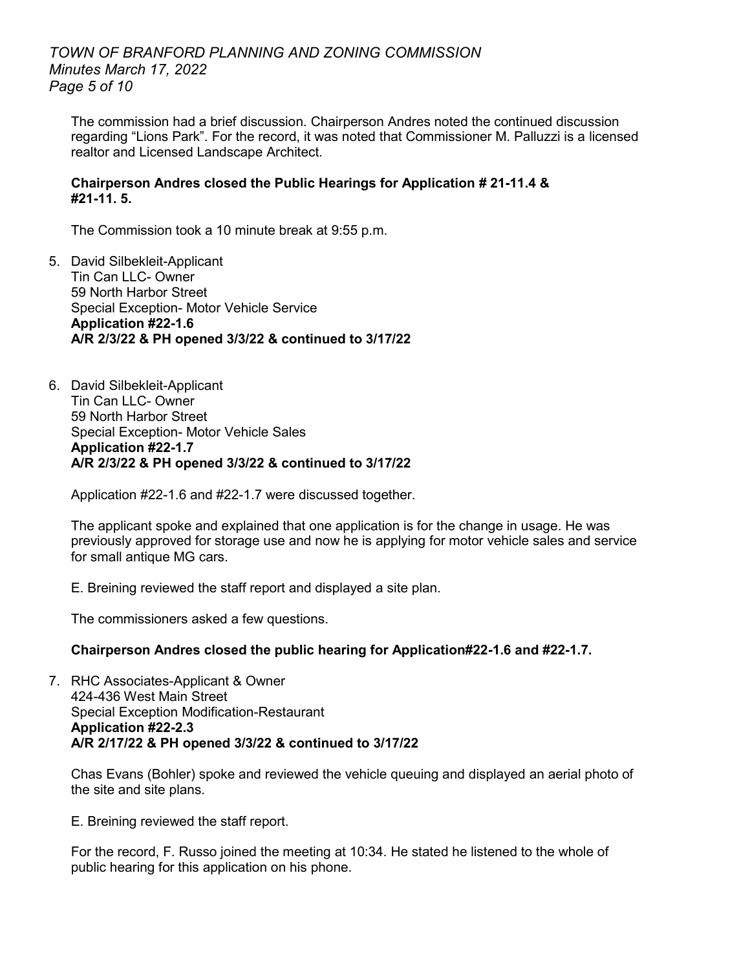# *TOWN OF BRANFORD PLANNING AND ZONING COMMISSION Minutes March 17, 2022 Page 5 of 10*

The commission had a brief discussion. Chairperson Andres noted the continued discussion regarding "Lions Park". For the record, it was noted that Commissioner M. Palluzzi is a licensed realtor and Licensed Landscape Architect.

## **Chairperson Andres closed the Public Hearings for Application # 21-11.4 & #21-11. 5.**

The Commission took a 10 minute break at 9:55 p.m.

- 5. David Silbekleit-Applicant Tin Can LLC- Owner 59 North Harbor Street Special Exception- Motor Vehicle Service **Application #22-1.6 A/R 2/3/22 & PH opened 3/3/22 & continued to 3/17/22**
- 6. David Silbekleit-Applicant Tin Can LLC- Owner 59 North Harbor Street Special Exception- Motor Vehicle Sales **Application #22-1.7 A/R 2/3/22 & PH opened 3/3/22 & continued to 3/17/22**

Application #22-1.6 and #22-1.7 were discussed together.

The applicant spoke and explained that one application is for the change in usage. He was previously approved for storage use and now he is applying for motor vehicle sales and service for small antique MG cars.

E. Breining reviewed the staff report and displayed a site plan.

The commissioners asked a few questions.

## **Chairperson Andres closed the public hearing for Application#22-1.6 and #22-1.7.**

7. RHC Associates-Applicant & Owner 424-436 West Main Street Special Exception Modification-Restaurant **Application #22-2.3 A/R 2/17/22 & PH opened 3/3/22 & continued to 3/17/22**

Chas Evans (Bohler) spoke and reviewed the vehicle queuing and displayed an aerial photo of the site and site plans.

E. Breining reviewed the staff report.

For the record, F. Russo joined the meeting at 10:34. He stated he listened to the whole of public hearing for this application on his phone.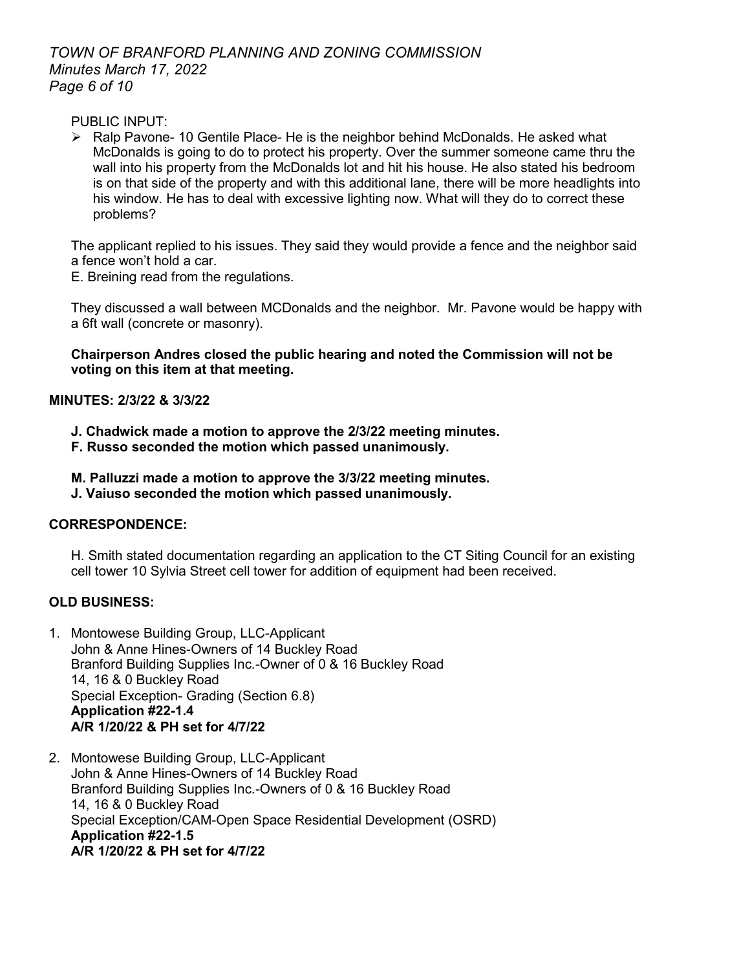# *TOWN OF BRANFORD PLANNING AND ZONING COMMISSION Minutes March 17, 2022 Page 6 of 10*

PUBLIC INPUT:

 $\triangleright$  Ralp Pavone- 10 Gentile Place- He is the neighbor behind McDonalds. He asked what McDonalds is going to do to protect his property. Over the summer someone came thru the wall into his property from the McDonalds lot and hit his house. He also stated his bedroom is on that side of the property and with this additional lane, there will be more headlights into his window. He has to deal with excessive lighting now. What will they do to correct these problems?

The applicant replied to his issues. They said they would provide a fence and the neighbor said a fence won't hold a car.

E. Breining read from the regulations.

They discussed a wall between MCDonalds and the neighbor. Mr. Pavone would be happy with a 6ft wall (concrete or masonry).

**Chairperson Andres closed the public hearing and noted the Commission will not be voting on this item at that meeting.** 

# **MINUTES: 2/3/22 & 3/3/22**

- **J. Chadwick made a motion to approve the 2/3/22 meeting minutes.**
- **F. Russo seconded the motion which passed unanimously.**
- **M. Palluzzi made a motion to approve the 3/3/22 meeting minutes.**
- **J. Vaiuso seconded the motion which passed unanimously.**

# **CORRESPONDENCE:**

H. Smith stated documentation regarding an application to the CT Siting Council for an existing cell tower 10 Sylvia Street cell tower for addition of equipment had been received.

# **OLD BUSINESS:**

- 1. Montowese Building Group, LLC-Applicant John & Anne Hines-Owners of 14 Buckley Road Branford Building Supplies Inc.-Owner of 0 & 16 Buckley Road 14, 16 & 0 Buckley Road Special Exception- Grading (Section 6.8) **Application #22-1.4 A/R 1/20/22 & PH set for 4/7/22**
- 2. Montowese Building Group, LLC-Applicant John & Anne Hines-Owners of 14 Buckley Road Branford Building Supplies Inc.-Owners of 0 & 16 Buckley Road 14, 16 & 0 Buckley Road Special Exception/CAM-Open Space Residential Development (OSRD) **Application #22-1.5 A/R 1/20/22 & PH set for 4/7/22**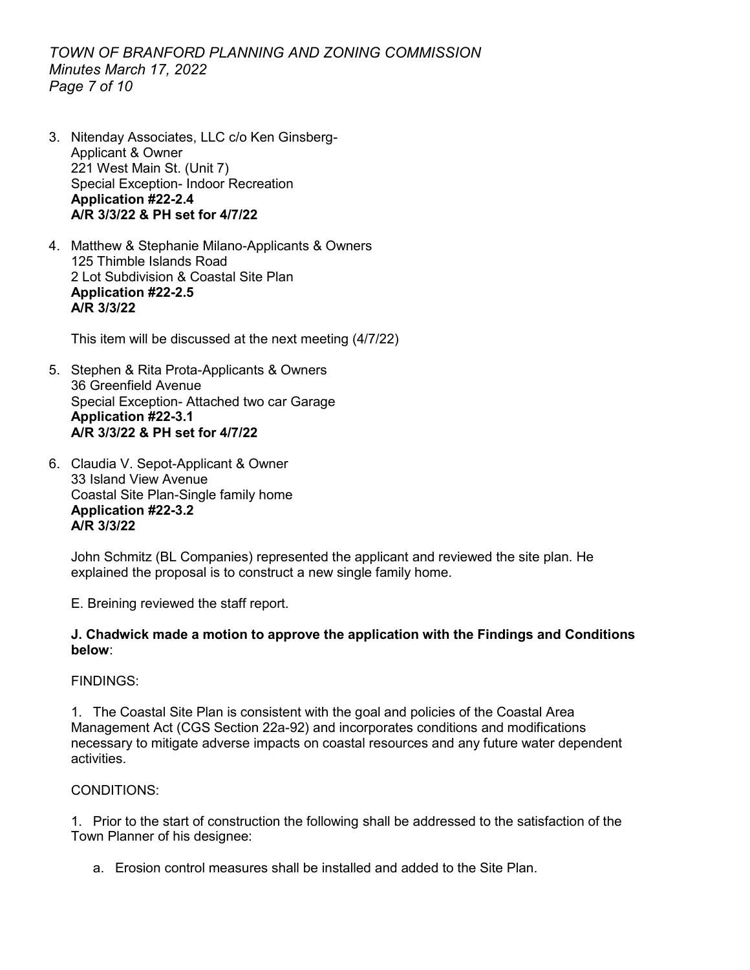# *TOWN OF BRANFORD PLANNING AND ZONING COMMISSION Minutes March 17, 2022 Page 7 of 10*

- 3. Nitenday Associates, LLC c/o Ken Ginsberg-Applicant & Owner 221 West Main St. (Unit 7) Special Exception- Indoor Recreation **Application #22-2.4 A/R 3/3/22 & PH set for 4/7/22**
- 4. Matthew & Stephanie Milano-Applicants & Owners 125 Thimble Islands Road 2 Lot Subdivision & Coastal Site Plan **Application #22-2.5 A/R 3/3/22**

This item will be discussed at the next meeting (4/7/22)

- 5. Stephen & Rita Prota-Applicants & Owners 36 Greenfield Avenue Special Exception- Attached two car Garage **Application #22-3.1 A/R 3/3/22 & PH set for 4/7/22**
- 6. Claudia V. Sepot-Applicant & Owner 33 Island View Avenue Coastal Site Plan-Single family home **Application #22-3.2 A/R 3/3/22**

John Schmitz (BL Companies) represented the applicant and reviewed the site plan. He explained the proposal is to construct a new single family home.

E. Breining reviewed the staff report.

#### **J. Chadwick made a motion to approve the application with the Findings and Conditions below**:

## FINDINGS:

1. The Coastal Site Plan is consistent with the goal and policies of the Coastal Area Management Act (CGS Section 22a-92) and incorporates conditions and modifications necessary to mitigate adverse impacts on coastal resources and any future water dependent activities.

#### CONDITIONS:

1. Prior to the start of construction the following shall be addressed to the satisfaction of the Town Planner of his designee:

a. Erosion control measures shall be installed and added to the Site Plan.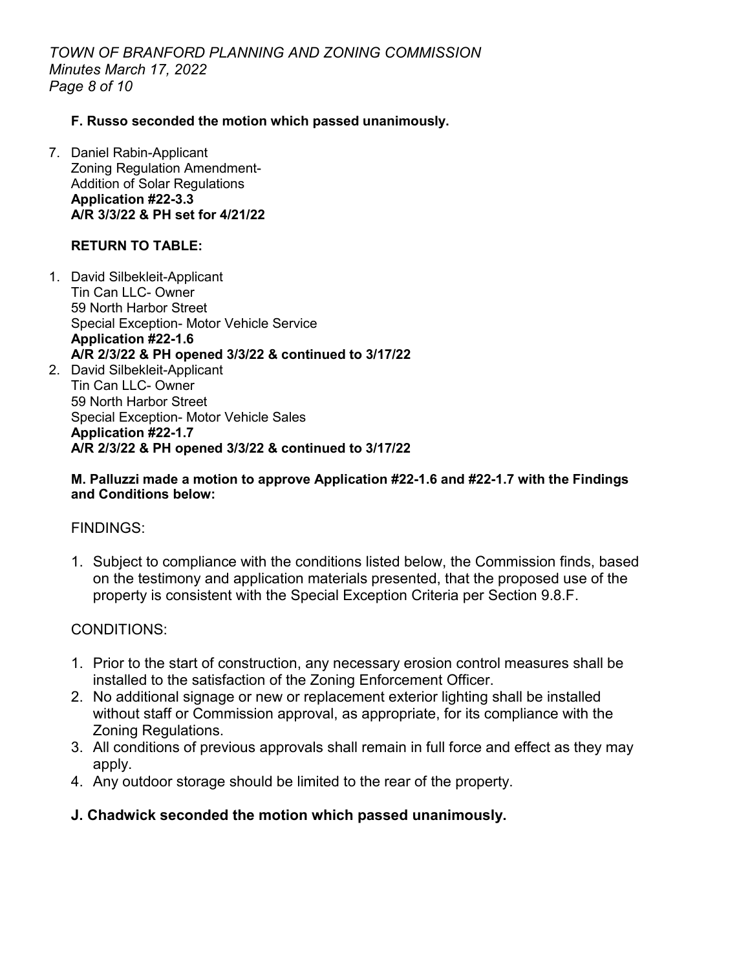*TOWN OF BRANFORD PLANNING AND ZONING COMMISSION Minutes March 17, 2022 Page 8 of 10*

## **F. Russo seconded the motion which passed unanimously.**

7. Daniel Rabin-Applicant Zoning Regulation Amendment-Addition of Solar Regulations **Application #22-3.3 A/R 3/3/22 & PH set for 4/21/22**

# **RETURN TO TABLE:**

1. David Silbekleit-Applicant Tin Can LLC- Owner 59 North Harbor Street Special Exception- Motor Vehicle Service **Application #22-1.6 A/R 2/3/22 & PH opened 3/3/22 & continued to 3/17/22** 2. David Silbekleit-Applicant Tin Can LLC- Owner 59 North Harbor Street Special Exception- Motor Vehicle Sales **Application #22-1.7 A/R 2/3/22 & PH opened 3/3/22 & continued to 3/17/22**

#### **M. Palluzzi made a motion to approve Application #22-1.6 and #22-1.7 with the Findings and Conditions below:**

## FINDINGS:

1. Subject to compliance with the conditions listed below, the Commission finds, based on the testimony and application materials presented, that the proposed use of the property is consistent with the Special Exception Criteria per Section 9.8.F.

# CONDITIONS:

- 1. Prior to the start of construction, any necessary erosion control measures shall be installed to the satisfaction of the Zoning Enforcement Officer.
- 2. No additional signage or new or replacement exterior lighting shall be installed without staff or Commission approval, as appropriate, for its compliance with the Zoning Regulations.
- 3. All conditions of previous approvals shall remain in full force and effect as they may apply.
- 4. Any outdoor storage should be limited to the rear of the property.

# **J. Chadwick seconded the motion which passed unanimously.**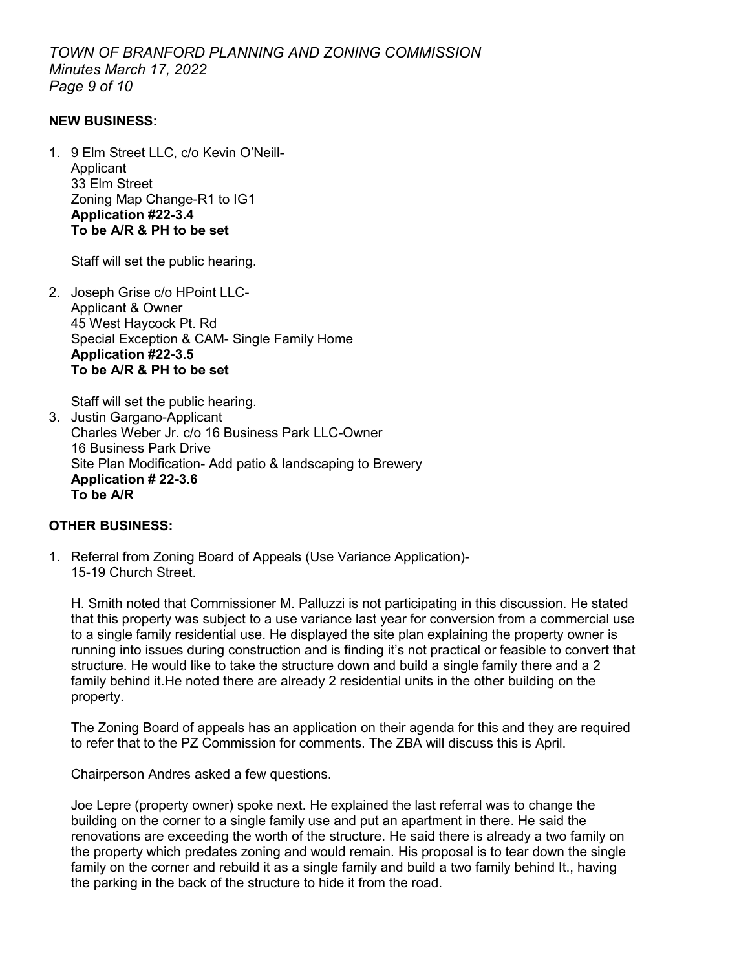*TOWN OF BRANFORD PLANNING AND ZONING COMMISSION Minutes March 17, 2022 Page 9 of 10*

#### **NEW BUSINESS:**

1. 9 Elm Street LLC, c/o Kevin O'Neill-Applicant 33 Elm Street Zoning Map Change-R1 to IG1 **Application #22-3.4 To be A/R & PH to be set** 

Staff will set the public hearing.

2. Joseph Grise c/o HPoint LLC-Applicant & Owner 45 West Haycock Pt. Rd Special Exception & CAM- Single Family Home **Application #22-3.5 To be A/R & PH to be set**

Staff will set the public hearing.

3. Justin Gargano-Applicant Charles Weber Jr. c/o 16 Business Park LLC-Owner 16 Business Park Drive Site Plan Modification- Add patio & landscaping to Brewery **Application # 22-3.6 To be A/R** 

## **OTHER BUSINESS:**

1. Referral from Zoning Board of Appeals (Use Variance Application)- 15-19 Church Street.

H. Smith noted that Commissioner M. Palluzzi is not participating in this discussion. He stated that this property was subject to a use variance last year for conversion from a commercial use to a single family residential use. He displayed the site plan explaining the property owner is running into issues during construction and is finding it's not practical or feasible to convert that structure. He would like to take the structure down and build a single family there and a 2 family behind it.He noted there are already 2 residential units in the other building on the property.

The Zoning Board of appeals has an application on their agenda for this and they are required to refer that to the PZ Commission for comments. The ZBA will discuss this is April.

Chairperson Andres asked a few questions.

Joe Lepre (property owner) spoke next. He explained the last referral was to change the building on the corner to a single family use and put an apartment in there. He said the renovations are exceeding the worth of the structure. He said there is already a two family on the property which predates zoning and would remain. His proposal is to tear down the single family on the corner and rebuild it as a single family and build a two family behind It., having the parking in the back of the structure to hide it from the road.